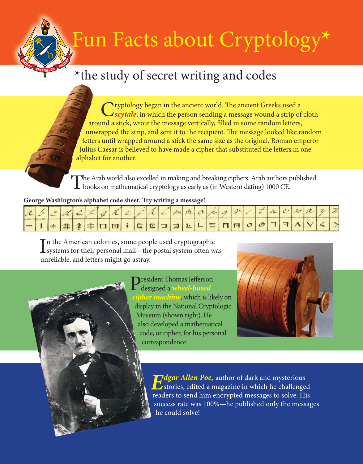## Fun Facts about Cryptology**\***

## **\***the study of secret writing and codes

Cryptology began in the ancient world. The ancient Greeks used a strip of cloth strip of cloth a strip of cloth around a stick, wrote the message vertically, filled in some random letters, unwrapped the strip, and sent it to the recipient. The message looked like random letters until wrapped around a stick the same size as the original. Roman emperor Julius Caesar is believed to have made a cipher that substituted the letters in one alphabet for another.

The Arab world also excelled in making and breaking ciphers. Arab authors published  $\perp$  books on mathematical cryptology as early as (in Western dating) 1000 CE.

## **George Washington's alphabet code sheet. Try writing a message!**

|  |  |  |  | - $ + + $ $\#$ ? $\#$ $\Box$ $\Box$ $ $ $\Box$ $ $ $\Box$ $ $ $\Box$ $ $ $\Box$ $ $ $\Box$ $ $ $\Box$ $ $ $\Box$ $ $ $\Box$ $ $ $\Box$ $ $ $\Box$ $ $ |  |  |  |  |  |  |  |  |  |
|--|--|--|--|-------------------------------------------------------------------------------------------------------------------------------------------------------|--|--|--|--|--|--|--|--|--|

 $\prod$ n the American colonies, some people used cryptographic<br>Systems for their personal mail—the postal system often was In the American colonies, some people used cryptographic unreliable, and letters might go astray.



**President Thomas Jefferson** designed a **wheel-based cipher machine**, which is likely on display in the National Cryptologic Museum (shown right). He also developed a mathematical code, or cipher, for his personal correspondence.



**Edgar Allen Poe,** author of dark and mysterious  $\mathcal{L}_{\text{stories}}$ , edited a magazine in which he challenged readers to send him encrypted messages to solve. His success rate was 100%—he published only the messages he could solve!